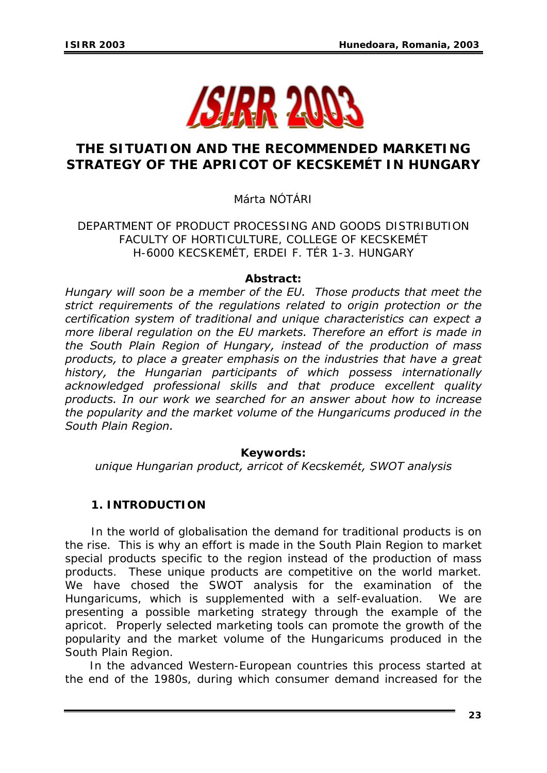

# **THE SITUATION AND THE RECOMMENDED MARKETING STRATEGY OF THE APRICOT OF KECSKEMÉT IN HUNGARY**

Márta NÓTÁRI

DEPARTMENT OF PRODUCT PROCESSING AND GOODS DISTRIBUTION FACULTY OF HORTICULTURE, COLLEGE OF KECSKEMÉT H-6000 KECSKEMÉT, ERDEI F. TÉR 1-3. HUNGARY

#### *Abstract:*

*Hungary will soon be a member of the EU. Those products that meet the strict requirements of the regulations related to origin protection or the certification system of traditional and unique characteristics can expect a more liberal regulation on the EU markets. Therefore an effort is made in the South Plain Region of Hungary, instead of the production of mass products, to place a greater emphasis on the industries that have a great history, the Hungarian participants of which possess internationally acknowledged professional skills and that produce excellent quality products. In our work we searched for an answer about how to increase the popularity and the market volume of the Hungaricums produced in the South Plain Region.* 

## *Keywords:*

*unique Hungarian product, arricot of Kecskemét, SWOT analysis* 

## **1. INTRODUCTION**

 In the world of globalisation the demand for traditional products is on the rise. This is why an effort is made in the South Plain Region to market special products specific to the region instead of the production of mass products. These unique products are competitive on the world market. We have chosed the SWOT analysis for the examination of the Hungaricums, which is supplemented with a self-evaluation. We are presenting a possible marketing strategy through the example of the apricot. Properly selected marketing tools can promote the growth of the popularity and the market volume of the Hungaricums produced in the South Plain Region.

 In the advanced Western-European countries this process started at the end of the 1980s, during which consumer demand increased for the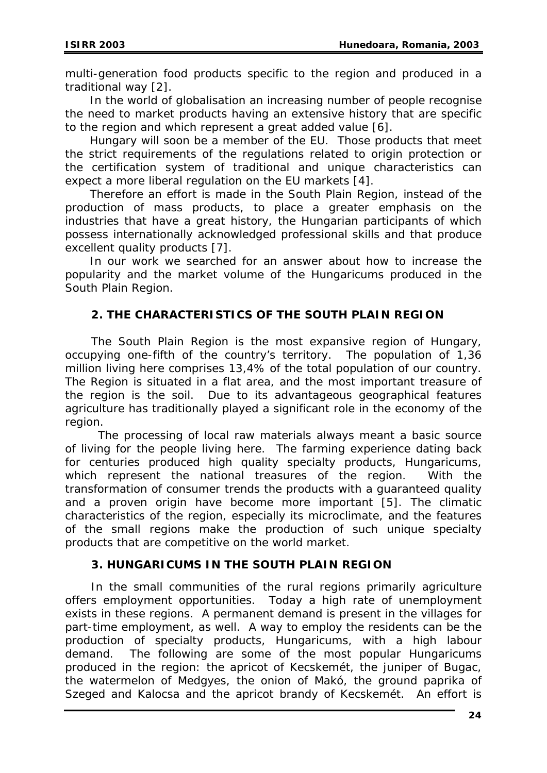multi-generation food products specific to the region and produced in a traditional way [2].

 In the world of globalisation an increasing number of people recognise the need to market products having an extensive history that are specific to the region and which represent a great added value [6].

 Hungary will soon be a member of the EU. Those products that meet the strict requirements of the regulations related to origin protection or the certification system of traditional and unique characteristics can expect a more liberal regulation on the EU markets [4].

 Therefore an effort is made in the South Plain Region, instead of the production of mass products, to place a greater emphasis on the industries that have a great history, the Hungarian participants of which possess internationally acknowledged professional skills and that produce excellent quality products [7].

 In our work we searched for an answer about how to increase the popularity and the market volume of the Hungaricums produced in the South Plain Region.

## **2. THE CHARACTERISTICS OF THE SOUTH PLAIN REGION**

 The South Plain Region is the most expansive region of Hungary, occupying one-fifth of the country's territory. The population of 1,36 million living here comprises 13,4% of the total population of our country. The Region is situated in a flat area, and the most important treasure of the region is the soil. Due to its advantageous geographical features agriculture has traditionally played a significant role in the economy of the region.

 The processing of local raw materials always meant a basic source of living for the people living here. The farming experience dating back for centuries produced high quality specialty products, Hungaricums, which represent the national treasures of the region. With the transformation of consumer trends the products with a guaranteed quality and a proven origin have become more important [5]. The climatic characteristics of the region, especially its microclimate, and the features of the small regions make the production of such unique specialty products that are competitive on the world market.

## **3. HUNGARICUMS IN THE SOUTH PLAIN REGION**

 In the small communities of the rural regions primarily agriculture offers employment opportunities. Today a high rate of unemployment exists in these regions. A permanent demand is present in the villages for part-time employment, as well. A way to employ the residents can be the production of specialty products, Hungaricums, with a high labour demand. The following are some of the most popular Hungaricums produced in the region: the apricot of Kecskemét, the juniper of Bugac, the watermelon of Medgyes, the onion of Makó, the ground paprika of Szeged and Kalocsa and the apricot brandy of Kecskemét. An effort is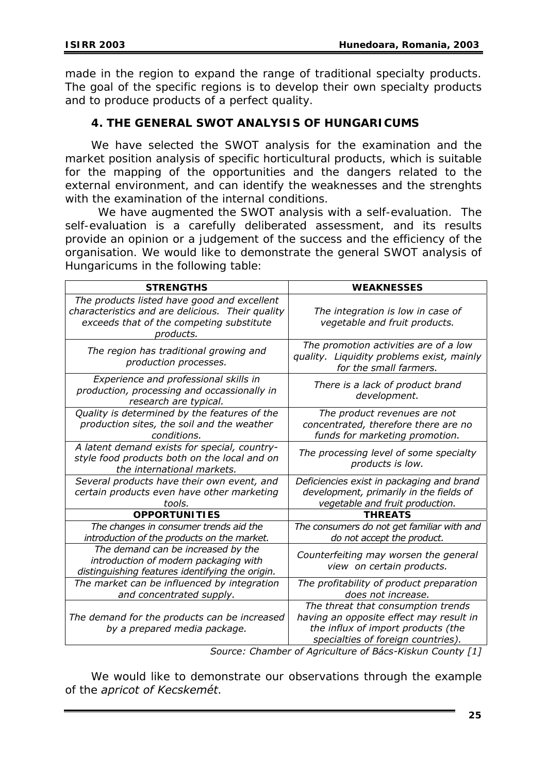made in the region to expand the range of traditional specialty products. The goal of the specific regions is to develop their own specialty products and to produce products of a perfect quality.

#### **4. THE GENERAL SWOT ANALYSIS OF HUNGARICUMS**

 We have selected the SWOT analysis for the examination and the market position analysis of specific horticultural products, which is suitable for the mapping of the opportunities and the dangers related to the external environment, and can identify the weaknesses and the strenghts with the examination of the internal conditions.

 We have augmented the SWOT analysis with a self-evaluation. The self-evaluation is a carefully deliberated assessment, and its results provide an opinion or a judgement of the success and the efficiency of the organisation. We would like to demonstrate the general SWOT analysis of Hungaricums in the following table:

| <b>STRENGTHS</b>                                                                                                                                         | <b>WEAKNESSES</b>                                                                                                                                                                                                     |
|----------------------------------------------------------------------------------------------------------------------------------------------------------|-----------------------------------------------------------------------------------------------------------------------------------------------------------------------------------------------------------------------|
| The products listed have good and excellent<br>characteristics and are delicious. Their quality<br>exceeds that of the competing substitute<br>products. | The integration is low in case of<br>vegetable and fruit products.                                                                                                                                                    |
| The region has traditional growing and<br>production processes.                                                                                          | The promotion activities are of a low<br>quality. Liquidity problems exist, mainly<br>for the small farmers.                                                                                                          |
| Experience and professional skills in<br>production, processing and occassionally in<br>research are typical.                                            | There is a lack of product brand<br>development.                                                                                                                                                                      |
| Quality is determined by the features of the<br>production sites, the soil and the weather<br>conditions.                                                | The product revenues are not<br>concentrated, therefore there are no<br>funds for marketing promotion.                                                                                                                |
| A latent demand exists for special, country-<br>style food products both on the local and on<br>the international markets.                               | The processing level of some specialty<br>products is low.                                                                                                                                                            |
| Several products have their own event, and<br>certain products even have other marketing<br>tools.                                                       | Deficiencies exist in packaging and brand<br>development, primarily in the fields of<br>vegetable and fruit production.                                                                                               |
| <b>OPPORTUNITIES</b>                                                                                                                                     | <b>THREATS</b>                                                                                                                                                                                                        |
| The changes in consumer trends aid the<br>introduction of the products on the market.                                                                    | The consumers do not get familiar with and<br>do not accept the product.                                                                                                                                              |
| The demand can be increased by the<br>introduction of modern packaging with<br>distinguishing features identifying the origin.                           | Counterfeiting may worsen the general<br>view on certain products.                                                                                                                                                    |
| The market can be influenced by integration<br>and concentrated supply.                                                                                  | The profitability of product preparation<br>does not increase.                                                                                                                                                        |
| The demand for the products can be increased<br>by a prepared media package.                                                                             | The threat that consumption trends<br>having an opposite effect may result in<br>the influx of import products (the<br>specialties of foreign countries).<br>Course: Chamber of Agriculture of Race Kiskup County [1] |

*Source: Chamber of Agriculture of Bács-Kiskun County [1]* 

 We would like to demonstrate our observations through the example of the *apricot of Kecskemét*.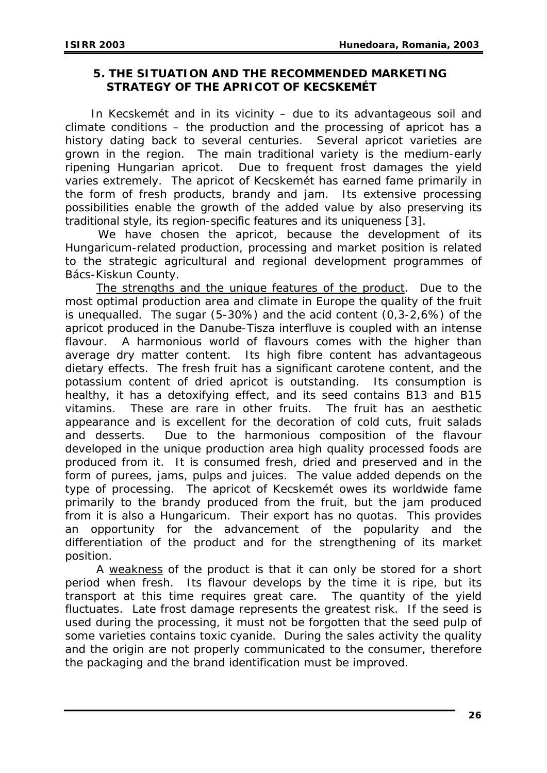#### **5. THE SITUATION AND THE RECOMMENDED MARKETING STRATEGY OF THE APRICOT OF KECSKEMÉT**

 In Kecskemét and in its vicinity – due to its advantageous soil and climate conditions – the production and the processing of apricot has a history dating back to several centuries. Several apricot varieties are grown in the region. The main traditional variety is the medium-early ripening Hungarian apricot. Due to frequent frost damages the yield varies extremely. The apricot of Kecskemét has earned fame primarily in the form of fresh products, brandy and jam. Its extensive processing possibilities enable the growth of the added value by also preserving its traditional style, its region-specific features and its uniqueness [3].

 We have chosen the apricot, because the development of its Hungaricum-related production, processing and market position is related to the strategic agricultural and regional development programmes of Bács-Kiskun County.

The strengths and the unique features of the product. Due to the most optimal production area and climate in Europe the quality of the fruit is unequalled. The sugar (5-30%) and the acid content (0,3-2,6%) of the apricot produced in the Danube-Tisza interfluve is coupled with an intense flavour. A harmonious world of flavours comes with the higher than average dry matter content. Its high fibre content has advantageous dietary effects. The fresh fruit has a significant carotene content, and the potassium content of dried apricot is outstanding. Its consumption is healthy, it has a detoxifying effect, and its seed contains B13 and B15 vitamins. These are rare in other fruits. The fruit has an aesthetic appearance and is excellent for the decoration of cold cuts, fruit salads and desserts. Due to the harmonious composition of the flavour developed in the unique production area high quality processed foods are produced from it. It is consumed fresh, dried and preserved and in the form of purees, jams, pulps and juices. The value added depends on the type of processing. The apricot of Kecskemét owes its worldwide fame primarily to the brandy produced from the fruit, but the jam produced from it is also a Hungaricum. Their export has no quotas. This provides an opportunity for the advancement of the popularity and the differentiation of the product and for the strengthening of its market position.

A weakness of the product is that it can only be stored for a short period when fresh. Its flavour develops by the time it is ripe, but its transport at this time requires great care. The quantity of the yield fluctuates. Late frost damage represents the greatest risk. If the seed is used during the processing, it must not be forgotten that the seed pulp of some varieties contains toxic cyanide. During the sales activity the quality and the origin are not properly communicated to the consumer, therefore the packaging and the brand identification must be improved.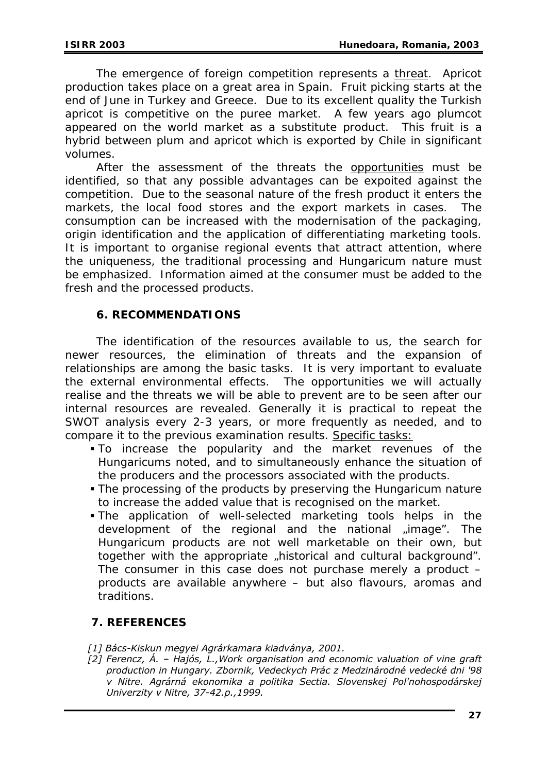The emergence of foreign competition represents a threat. Apricot production takes place on a great area in Spain. Fruit picking starts at the end of June in Turkey and Greece. Due to its excellent quality the Turkish apricot is competitive on the puree market. A few years ago plumcot appeared on the world market as a substitute product. This fruit is a hybrid between plum and apricot which is exported by Chile in significant volumes.

After the assessment of the threats the opportunities must be identified, so that any possible advantages can be expoited against the competition. Due to the seasonal nature of the fresh product it enters the markets, the local food stores and the export markets in cases. The consumption can be increased with the modernisation of the packaging, origin identification and the application of differentiating marketing tools. It is important to organise regional events that attract attention, where the uniqueness, the traditional processing and Hungaricum nature must be emphasized. Information aimed at the consumer must be added to the fresh and the processed products.

#### **6. RECOMMENDATIONS**

The identification of the resources available to us, the search for newer resources, the elimination of threats and the expansion of relationships are among the basic tasks. It is very important to evaluate the external environmental effects. The opportunities we will actually realise and the threats we will be able to prevent are to be seen after our internal resources are revealed. Generally it is practical to repeat the SWOT analysis every 2-3 years, or more frequently as needed, and to compare it to the previous examination results. Specific tasks:

- To increase the popularity and the market revenues of the Hungaricums noted, and to simultaneously enhance the situation of the producers and the processors associated with the products.
- The processing of the products by preserving the Hungaricum nature to increase the added value that is recognised on the market.
- The application of well-selected marketing tools helps in the development of the regional and the national "image". The Hungaricum products are not well marketable on their own, but together with the appropriate "historical and cultural background". The consumer in this case does not purchase merely a product  $$ products are available anywhere – but also flavours, aromas and traditions.

## **7. REFERENCES**

- *[1] Bács-Kiskun megyei Agrárkamara kiadványa, 2001.*
- *[2] Ferencz, Á. Hajós, L.,Work organisation and economic valuation of vine graft production in Hungary. Zbornik, Vedeckych Prác z Medzinárodné vedecké dni '98 v Nitre. Agrárná ekonomika a politika Sectia. Slovenskej Pol'nohospodárskej Univerzity v Nitre, 37-42.p.,1999.*